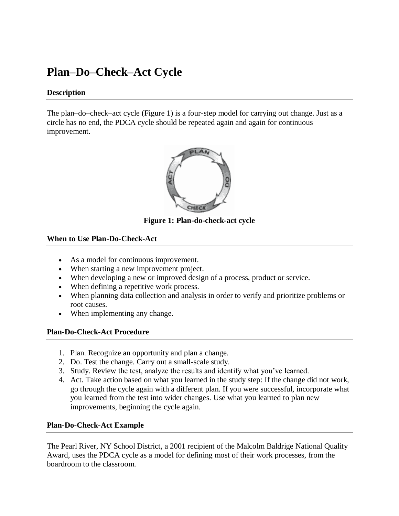# **Plan–Do–Check–Act Cycle**

#### **Description**

The plan–do–check–act cycle (Figure 1) is a four-step model for carrying out change. Just as a circle has no end, the PDCA cycle should be repeated again and again for continuous improvement.



**Figure 1: Plan-do-check-act cycle**

### **When to Use Plan-Do-Check-Act**

- As a model for continuous improvement.
- When starting a new improvement project.
- When developing a new or improved design of a process, product or service.
- When defining a repetitive work process.
- When planning data collection and analysis in order to verify and prioritize problems or root causes.
- When implementing any change.

### **Plan-Do-Check-Act Procedure**

- 1. Plan. Recognize an opportunity and plan a change.
- 2. Do. Test the change. Carry out a small-scale study.
- 3. Study. Review the test, analyze the results and identify what you've learned.
- 4. Act. Take action based on what you learned in the study step: If the change did not work, go through the cycle again with a different plan. If you were successful, incorporate what you learned from the test into wider changes. Use what you learned to plan new improvements, beginning the cycle again.

### **Plan-Do-Check-Act Example**

The Pearl River, NY School District, a 2001 recipient of the Malcolm Baldrige National Quality Award, uses the PDCA cycle as a model for defining most of their work processes, from the boardroom to the classroom.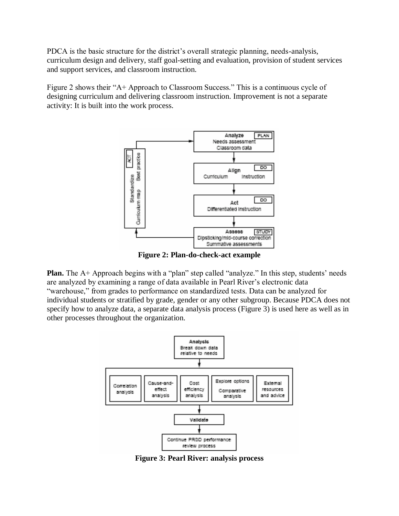PDCA is the basic structure for the district's overall strategic planning, needs-analysis, curriculum design and delivery, staff goal-setting and evaluation, provision of student services and support services, and classroom instruction.

Figure 2 shows their "A+ Approach to Classroom Success." This is a continuous cycle of designing curriculum and delivering classroom instruction. Improvement is not a separate activity: It is built into the work process.



**Figure 2: Plan-do-check-act example** 

**Plan.** The A+ Approach begins with a "plan" step called "analyze." In this step, students' needs are analyzed by examining a range of data available in Pearl River's electronic data "warehouse," from grades to performance on standardized tests. Data can be analyzed for individual students or stratified by grade, gender or any other subgroup. Because PDCA does not specify how to analyze data, a separate data analysis process (Figure 3) is used here as well as in other processes throughout the organization.



**Figure 3: Pearl River: analysis process**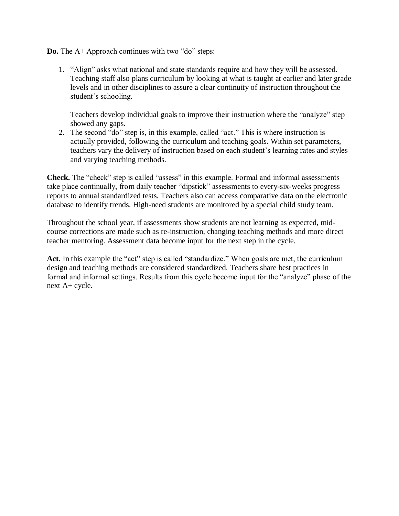**Do.** The A+ Approach continues with two "do" steps:

1. "Align" asks what national and state standards require and how they will be assessed. Teaching staff also plans curriculum by looking at what is taught at earlier and later grade levels and in other disciplines to assure a clear continuity of instruction throughout the student's schooling.

Teachers develop individual goals to improve their instruction where the "analyze" step showed any gaps.

2. The second "do" step is, in this example, called "act." This is where instruction is actually provided, following the curriculum and teaching goals. Within set parameters, teachers vary the delivery of instruction based on each student's learning rates and styles and varying teaching methods.

**Check.** The "check" step is called "assess" in this example. Formal and informal assessments take place continually, from daily teacher "dipstick" assessments to every-six-weeks progress reports to annual standardized tests. Teachers also can access comparative data on the electronic database to identify trends. High-need students are monitored by a special child study team.

Throughout the school year, if assessments show students are not learning as expected, midcourse corrections are made such as re-instruction, changing teaching methods and more direct teacher mentoring. Assessment data become input for the next step in the cycle.

Act. In this example the "act" step is called "standardize." When goals are met, the curriculum design and teaching methods are considered standardized. Teachers share best practices in formal and informal settings. Results from this cycle become input for the "analyze" phase of the next A+ cycle.